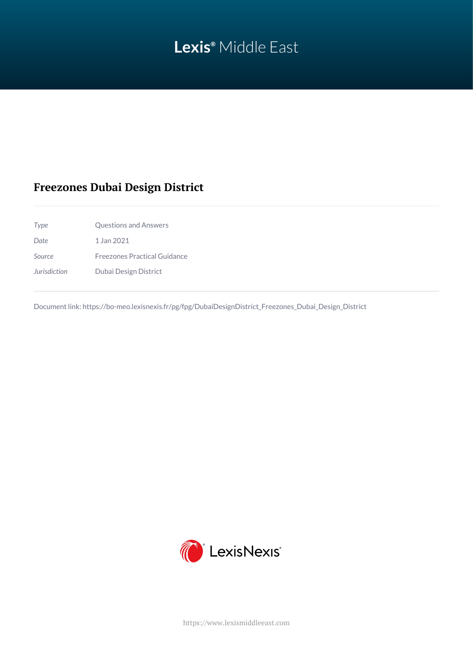# **Lexis®** Middle East

# **Freezones Dubai Design District**

*Type* Questions and Answers *Date* 1 Jan 2021 *Source* Freezones Practical Guidance *Jurisdiction* Dubai Design District

Document link: [https://bo-meo.lexisnexis.fr/pg/fpg/DubaiDesignDistrict\\_Freezones\\_Dubai\\_Design\\_District](https://bo-meo.lexisnexis.fr/pg/fpg/DubaiDesignDistrict_Freezones_Dubai_Design_District)



<https://www.lexismiddleeast.com>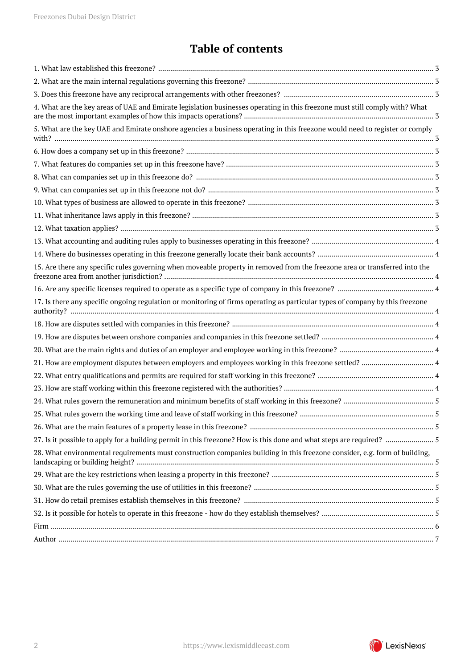# **Table of contents**

| 4. What are the key areas of UAE and Emirate legislation businesses operating in this freezone must still comply with? What   |  |
|-------------------------------------------------------------------------------------------------------------------------------|--|
| 5. What are the key UAE and Emirate onshore agencies a business operating in this freezone would need to register or comply   |  |
|                                                                                                                               |  |
|                                                                                                                               |  |
|                                                                                                                               |  |
|                                                                                                                               |  |
|                                                                                                                               |  |
|                                                                                                                               |  |
|                                                                                                                               |  |
|                                                                                                                               |  |
|                                                                                                                               |  |
| 15. Are there any specific rules governing when moveable property in removed from the freezone area or transferred into the   |  |
|                                                                                                                               |  |
| 17. Is there any specific ongoing regulation or monitoring of firms operating as particular types of company by this freezone |  |
|                                                                                                                               |  |
|                                                                                                                               |  |
|                                                                                                                               |  |
|                                                                                                                               |  |
|                                                                                                                               |  |
|                                                                                                                               |  |
|                                                                                                                               |  |
|                                                                                                                               |  |
|                                                                                                                               |  |
| 27. Is it possible to apply for a building permit in this freezone? How is this done and what steps are required?  5          |  |
| 28. What environmental requirements must construction companies building in this freezone consider, e.g. form of building,    |  |
|                                                                                                                               |  |
|                                                                                                                               |  |
|                                                                                                                               |  |
|                                                                                                                               |  |
|                                                                                                                               |  |
|                                                                                                                               |  |
|                                                                                                                               |  |

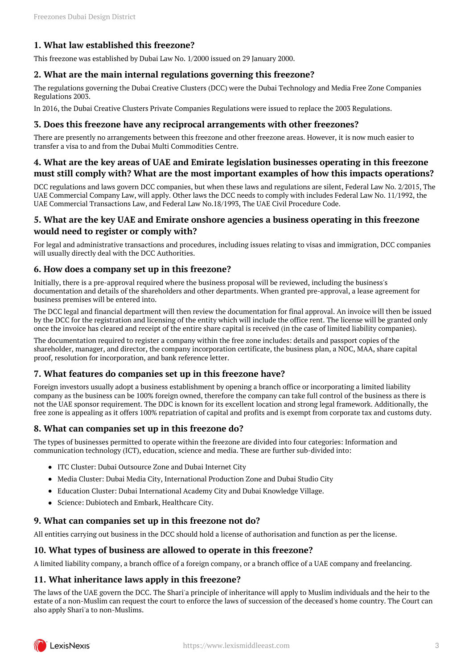# <span id="page-2-0"></span>**1. What law established this freezone?**

This freezone was established by Dubai Law No. 1/2000 issued on 29 January 2000.

#### <span id="page-2-1"></span>**2. What are the main internal regulations governing this freezone?**

The regulations governing the Dubai Creative Clusters (DCC) were the Dubai Technology and Media Free Zone Companies Regulations 2003.

In 2016, the Dubai Creative Clusters Private Companies Regulations were issued to replace the 2003 Regulations.

#### <span id="page-2-2"></span>**3. Does this freezone have any reciprocal arrangements with other freezones?**

There are presently no arrangements between this freezone and other freezone areas. However, it is now much easier to transfer a visa to and from the Dubai Multi Commodities Centre.

### <span id="page-2-3"></span>**4. What are the key areas of UAE and Emirate legislation businesses operating in this freezone must still comply with? What are the most important examples of how this impacts operations?**

DCC regulations and laws govern DCC companies, but when these laws and regulations are silent, Federal Law No. 2/2015, The UAE Commercial Company Law, will apply. Other laws the DCC needs to comply with includes Federal Law No. 11/1992, the UAE Commercial Transactions Law, and Federal Law No.18/1993, The UAE Civil Procedure Code.

### <span id="page-2-4"></span>**5. What are the key UAE and Emirate onshore agencies a business operating in this freezone would need to register or comply with?**

For legal and administrative transactions and procedures, including issues relating to visas and immigration, DCC companies will usually directly deal with the DCC Authorities.

#### <span id="page-2-5"></span>**6. How does a company set up in this freezone?**

Initially, there is a pre-approval required where the business proposal will be reviewed, including the business's documentation and details of the shareholders and other departments. When granted pre-approval, a lease agreement for business premises will be entered into.

The DCC legal and financial department will then review the documentation for final approval. An invoice will then be issued by the DCC for the registration and licensing of the entity which will include the office rent. The license will be granted only once the invoice has cleared and receipt of the entire share capital is received (in the case of limited liability companies).

The documentation required to register a company within the free zone includes: details and passport copies of the shareholder, manager, and director, the company incorporation certificate, the business plan, a NOC, MAA, share capital proof, resolution for incorporation, and bank reference letter.

# <span id="page-2-6"></span>**7. What features do companies set up in this freezone have?**

Foreign investors usually adopt a business establishment by opening a branch office or incorporating a limited liability company as the business can be 100% foreign owned, therefore the company can take full control of the business as there is not the UAE sponsor requirement. The DDC is known for its excellent location and strong legal framework. Additionally, the free zone is appealing as it offers 100% repatriation of capital and profits and is exempt from corporate tax and customs duty.

# <span id="page-2-7"></span>**8. What can companies set up in this freezone do?**

The types of businesses permitted to operate within the freezone are divided into four categories: Information and communication technology (ICT), education, science and media. These are further sub-divided into:

- ITC Cluster: Dubai Outsource Zone and Dubai Internet City
- Media Cluster: Dubai Media City, International Production Zone and Dubai Studio City
- Education Cluster: Dubai International Academy City and Dubai Knowledge Village.
- Science: Dubiotech and Embark, Healthcare City.

# <span id="page-2-8"></span>**9. What can companies set up in this freezone not do?**

All entities carrying out business in the DCC should hold a license of authorisation and function as per the license.

#### <span id="page-2-9"></span>**10. What types of business are allowed to operate in this freezone?**

A limited liability company, a branch office of a foreign company, or a branch office of a UAE company and freelancing.

# <span id="page-2-10"></span>**11. What inheritance laws apply in this freezone?**

The laws of the UAE govern the DCC. The Shari'a principle of inheritance will apply to Muslim individuals and the heir to the estate of a non-Muslim can request the court to enforce the laws of succession of the deceased's home country. The Court can also apply Shari'a to non-Muslims.

<span id="page-2-11"></span>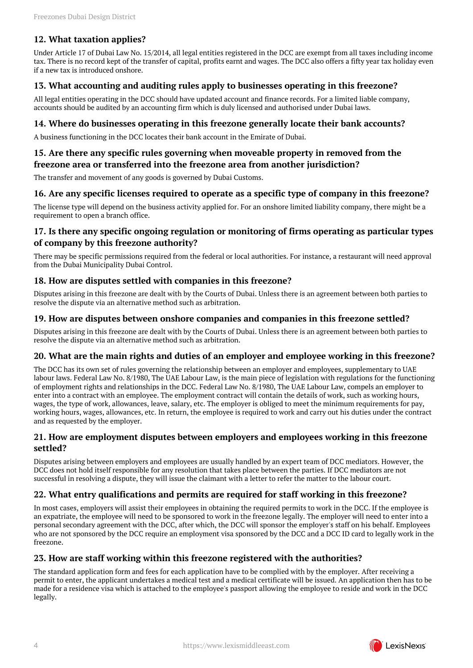# **12. What taxation applies?**

Under Article 17 of Dubai Law No. 15/2014, all legal entities registered in the DCC are exempt from all taxes including income tax. There is no record kept of the transfer of capital, profits earnt and wages. The DCC also offers a fifty year tax holiday even if a new tax is introduced onshore.

# <span id="page-3-0"></span>**13. What accounting and auditing rules apply to businesses operating in this freezone?**

All legal entities operating in the DCC should have updated account and finance records. For a limited liable company, accounts should be audited by an accounting firm which is duly licensed and authorised under Dubai laws.

#### <span id="page-3-1"></span>**14. Where do businesses operating in this freezone generally locate their bank accounts?**

A business functioning in the DCC locates their bank account in the Emirate of Dubai.

# <span id="page-3-2"></span>**15. Are there any specific rules governing when moveable property in removed from the freezone area or transferred into the freezone area from another jurisdiction?**

The transfer and movement of any goods is governed by Dubai Customs.

#### <span id="page-3-3"></span>**16. Are any specific licenses required to operate as a specific type of company in this freezone?**

The license type will depend on the business activity applied for. For an onshore limited liability company, there might be a requirement to open a branch office.

# <span id="page-3-4"></span>**17. Is there any specific ongoing regulation or monitoring of firms operating as particular types of company by this freezone authority?**

There may be specific permissions required from the federal or local authorities. For instance, a restaurant will need approval from the Dubai Municipality Dubai Control.

#### <span id="page-3-5"></span>**18. How are disputes settled with companies in this freezone?**

Disputes arising in this freezone are dealt with by the Courts of Dubai. Unless there is an agreement between both parties to resolve the dispute via an alternative method such as arbitration.

#### <span id="page-3-6"></span>**19. How are disputes between onshore companies and companies in this freezone settled?**

Disputes arising in this freezone are dealt with by the Courts of Dubai. Unless there is an agreement between both parties to resolve the dispute via an alternative method such as arbitration.

#### <span id="page-3-7"></span>**20. What are the main rights and duties of an employer and employee working in this freezone?**

The DCC has its own set of rules governing the relationship between an employer and employees, supplementary to UAE labour laws. Federal Law No. 8/1980, The UAE Labour Law, is the main piece of legislation with regulations for the functioning of employment rights and relationships in the DCC. Federal Law No. 8/1980, The UAE Labour Law, compels an employer to enter into a contract with an employee. The employment contract will contain the details of work, such as working hours, wages, the type of work, allowances, leave, salary, etc. The employer is obliged to meet the minimum requirements for pay, working hours, wages, allowances, etc. In return, the employee is required to work and carry out his duties under the contract and as requested by the employer.

#### <span id="page-3-8"></span>**21. How are employment disputes between employers and employees working in this freezone settled?**

Disputes arising between employers and employees are usually handled by an expert team of DCC mediators. However, the DCC does not hold itself responsible for any resolution that takes place between the parties. If DCC mediators are not successful in resolving a dispute, they will issue the claimant with a letter to refer the matter to the labour court.

# <span id="page-3-9"></span>**22. What entry qualifications and permits are required for staff working in this freezone?**

In most cases, employers will assist their employees in obtaining the required permits to work in the DCC. If the employee is an expatriate, the employee will need to be sponsored to work in the freezone legally. The employer will need to enter into a personal secondary agreement with the DCC, after which, the DCC will sponsor the employer's staff on his behalf. Employees who are not sponsored by the DCC require an employment visa sponsored by the DCC and a DCC ID card to legally work in the freezone.

# <span id="page-3-10"></span>**23. How are staff working within this freezone registered with the authorities?**

The standard application form and fees for each application have to be complied with by the employer. After receiving a permit to enter, the applicant undertakes a medical test and a medical certificate will be issued. An application then has to be made for a residence visa which is attached to the employee's passport allowing the employee to reside and work in the DCC legally.

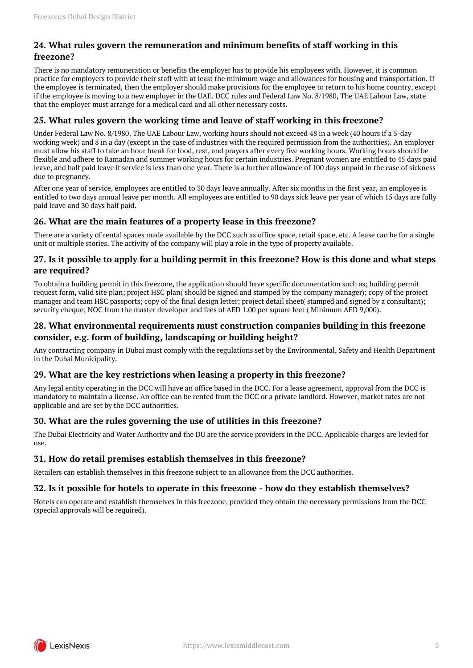# <span id="page-4-0"></span>**24. What rules govern the remuneration and minimum benefits of staff working in this freezone?**

There is no mandatory remuneration or benefits the employer has to provide his employees with. However, it is common practice for employers to provide their staff with at least the minimum wage and allowances for housing and transportation. If the employee is terminated, then the employer should make provisions for the employee to return to his home country, except if the employee is moving to a new employer in the UAE. DCC rules and Federal Law No. 8/1980, The UAE Labour Law, state that the employer must arrange for a medical card and all other necessary costs.

# <span id="page-4-1"></span>**25. What rules govern the working time and leave of staff working in this freezone?**

Under Federal Law No. 8/1980, The UAE Labour Law, working hours should not exceed 48 in a week (40 hours if a 5-day working week) and 8 in a day (except in the case of industries with the required permission from the authorities). An employer must allow his staff to take an hour break for food, rest, and prayers after every five working hours. Working hours should be flexible and adhere to Ramadan and summer working hours for certain industries. Pregnant women are entitled to 45 days paid leave, and half paid leave if service is less than one year. There is a further allowance of 100 days unpaid in the case of sickness due to pregnancy.

After one year of service, employees are entitled to 30 days leave annually. After six months in the first year, an employee is entitled to two days annual leave per month. All employees are entitled to 90 days sick leave per year of which 15 days are fully paid leave and 30 days half paid.

# <span id="page-4-2"></span>**26. What are the main features of a property lease in this freezone?**

There are a variety of rental spaces made available by the DCC such as office space, retail space, etc. A lease can be for a single unit or multiple stories. The activity of the company will play a role in the type of property available.

# <span id="page-4-3"></span>**27. Is it possible to apply for a building permit in this freezone? How is this done and what steps are required?**

To obtain a building permit in this freezone, the application should have specific documentation such as; building permit request form, valid site plan; project HSC plan( should be signed and stamped by the company manager); copy of the project manager and team HSC passports; copy of the final design letter; project detail sheet( stamped and signed by a consultant); security cheque; NOC from the master developer and fees of AED 1.00 per square feet ( Minimum AED 9,000).

# <span id="page-4-4"></span>**28. What environmental requirements must construction companies building in this freezone consider, e.g. form of building, landscaping or building height?**

Any contracting company in Dubai must comply with the regulations set by the Environmental, Safety and Health Department in the Dubai Municipality.

# <span id="page-4-5"></span>**29. What are the key restrictions when leasing a property in this freezone?**

Any legal entity operating in the DCC will have an office based in the DCC. For a lease agreement, approval from the DCC is mandatory to maintain a license. An office can be rented from the DCC or a private landlord. However, market rates are not applicable and are set by the DCC authorities.

# <span id="page-4-6"></span>**30. What are the rules governing the use of utilities in this freezone?**

The Dubai Electricity and Water Authority and the DU are the service providers in the DCC. Applicable charges are levied for  $11S<sub>P</sub>$ 

# <span id="page-4-7"></span>**31. How do retail premises establish themselves in this freezone?**

Retailers can establish themselves in this freezone subject to an allowance from the DCC authorities.

# <span id="page-4-8"></span>**32. Is it possible for hotels to operate in this freezone - how do they establish themselves?**

Hotels can operate and establish themselves in this freezone, provided they obtain the necessary permissions from the DCC (special approvals will be required).

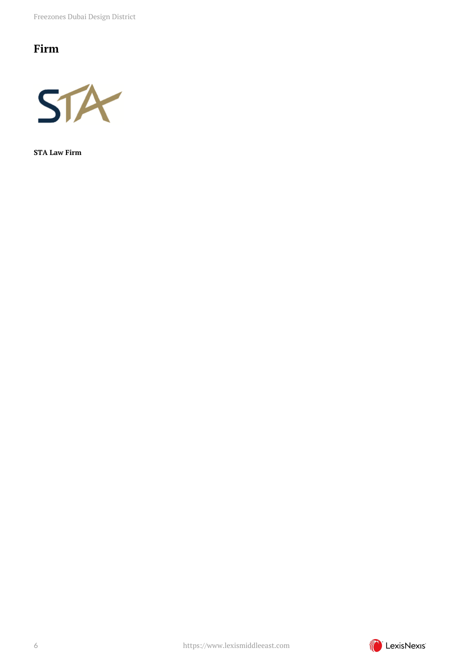Freezones Dubai Design District

# <span id="page-5-0"></span>**Firm**



**STA Law Firm**